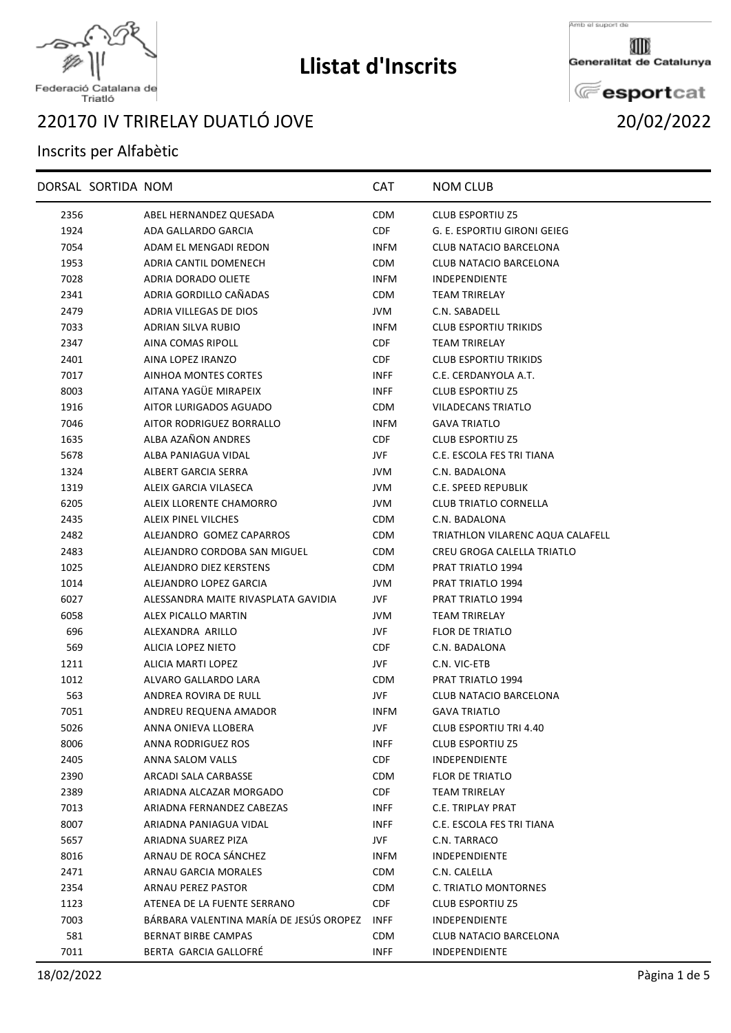

## **Llistat d'Inscrits**

Amb el suport de

Generalitat de Catalunya

**E**esportcat

## Federació Catalana de<br>Triatló

## IV TRIRELAY DUATLÓ JOVE 20/02/2022

## Inscrits per Alfabètic

|      | DORSAL SORTIDA NOM |                                         | <b>CAT</b>  | <b>NOM CLUB</b>                  |
|------|--------------------|-----------------------------------------|-------------|----------------------------------|
| 2356 |                    | ABEL HERNANDEZ QUESADA                  | <b>CDM</b>  | <b>CLUB ESPORTIU Z5</b>          |
| 1924 |                    | ADA GALLARDO GARCIA                     | CDF         | G. E. ESPORTIU GIRONI GEIEG      |
| 7054 |                    | ADAM EL MENGADI REDON                   | <b>INFM</b> | CLUB NATACIO BARCELONA           |
| 1953 |                    | ADRIA CANTIL DOMENECH                   | <b>CDM</b>  | CLUB NATACIO BARCELONA           |
| 7028 |                    | ADRIA DORADO OLIETE                     | <b>INFM</b> | <b>INDEPENDIENTE</b>             |
| 2341 |                    | ADRIA GORDILLO CAÑADAS                  | <b>CDM</b>  | <b>TEAM TRIRELAY</b>             |
| 2479 |                    | <b>ADRIA VILLEGAS DE DIOS</b>           | JVM         | C.N. SABADELL                    |
| 7033 |                    | ADRIAN SILVA RUBIO                      | <b>INFM</b> | <b>CLUB ESPORTIU TRIKIDS</b>     |
| 2347 |                    | AINA COMAS RIPOLL                       | <b>CDF</b>  | <b>TEAM TRIRELAY</b>             |
| 2401 |                    | AINA LOPEZ IRANZO                       | CDF.        | <b>CLUB ESPORTIU TRIKIDS</b>     |
| 7017 |                    | AINHOA MONTES CORTES                    | <b>INFF</b> | C.E. CERDANYOLA A.T.             |
| 8003 |                    | AITANA YAGÜE MIRAPEIX                   | <b>INFF</b> | <b>CLUB ESPORTIU Z5</b>          |
| 1916 |                    | AITOR LURIGADOS AGUADO                  | <b>CDM</b>  | VILADECANS TRIATLO               |
| 7046 |                    | AITOR RODRIGUEZ BORRALLO                | <b>INFM</b> | <b>GAVA TRIATLO</b>              |
| 1635 |                    | ALBA AZAÑON ANDRES                      | CDF         | <b>CLUB ESPORTIU Z5</b>          |
| 5678 |                    | ALBA PANIAGUA VIDAL                     | JVF         | C.E. ESCOLA FES TRI TIANA        |
| 1324 |                    | ALBERT GARCIA SERRA                     | JVM         | C.N. BADALONA                    |
| 1319 |                    | ALEIX GARCIA VILASECA                   | JVM         | C.E. SPEED REPUBLIK              |
| 6205 |                    | ALEIX LLORENTE CHAMORRO                 | JVM         | <b>CLUB TRIATLO CORNELLA</b>     |
| 2435 |                    | ALEIX PINEL VILCHES                     | <b>CDM</b>  | C.N. BADALONA                    |
| 2482 |                    | ALEJANDRO GOMEZ CAPARROS                | <b>CDM</b>  | TRIATHLON VILARENC AQUA CALAFELL |
| 2483 |                    | ALEJANDRO CORDOBA SAN MIGUEL            | CDM         | CREU GROGA CALELLA TRIATLO       |
| 1025 |                    | ALEJANDRO DIEZ KERSTENS                 | <b>CDM</b>  | PRAT TRIATLO 1994                |
| 1014 |                    | ALEJANDRO LOPEZ GARCIA                  | JVM         | PRAT TRIATLO 1994                |
| 6027 |                    | ALESSANDRA MAITE RIVASPLATA GAVIDIA     | JVF         | PRAT TRIATLO 1994                |
| 6058 |                    | ALEX PICALLO MARTIN                     | JVM         | <b>TEAM TRIRELAY</b>             |
| 696  |                    | ALEXANDRA ARILLO                        | JVF         | FLOR DE TRIATLO                  |
| 569  |                    | ALICIA LOPEZ NIETO                      | CDF         | C.N. BADALONA                    |
| 1211 |                    | ALICIA MARTI LOPEZ                      | JVF.        | C.N. VIC-ETB                     |
| 1012 |                    | ALVARO GALLARDO LARA                    | <b>CDM</b>  | <b>PRAT TRIATLO 1994</b>         |
| 563  |                    | ANDREA ROVIRA DE RULL                   | JVF         | CLUB NATACIO BARCELONA           |
| 7051 |                    | ANDREU REQUENA AMADOR                   | <b>INFM</b> | <b>GAVA TRIATLO</b>              |
| 5026 |                    | ANNA ONIEVA LLOBERA                     | JVF         | CLUB ESPORTIU TRI 4.40           |
| 8006 |                    | ANNA RODRIGUEZ ROS                      | INFF        | <b>CLUB ESPORTIU Z5</b>          |
| 2405 |                    | ANNA SALOM VALLS                        | <b>CDF</b>  | <b>INDEPENDIENTE</b>             |
| 2390 |                    | ARCADI SALA CARBASSE                    | CDM         | <b>FLOR DE TRIATLO</b>           |
| 2389 |                    | ARIADNA ALCAZAR MORGADO                 | CDF         | <b>TEAM TRIRELAY</b>             |
| 7013 |                    | ARIADNA FERNANDEZ CABEZAS               | <b>INFF</b> | <b>C.E. TRIPLAY PRAT</b>         |
| 8007 |                    | ARIADNA PANIAGUA VIDAL                  | INFF        | C.E. ESCOLA FES TRI TIANA        |
| 5657 |                    | ARIADNA SUAREZ PIZA                     | JVF         | C.N. TARRACO                     |
| 8016 |                    | ARNAU DE ROCA SÁNCHEZ                   | <b>INFM</b> | <b>INDEPENDIENTE</b>             |
| 2471 |                    | ARNAU GARCIA MORALES                    | <b>CDM</b>  | C.N. CALELLA                     |
| 2354 |                    | <b>ARNAU PEREZ PASTOR</b>               | <b>CDM</b>  | C. TRIATLO MONTORNES             |
| 1123 |                    | ATENEA DE LA FUENTE SERRANO             | CDF         | <b>CLUB ESPORTIU Z5</b>          |
| 7003 |                    | BÁRBARA VALENTINA MARÍA DE JESÚS OROPEZ | <b>INFF</b> | <b>INDEPENDIENTE</b>             |
| 581  |                    | BERNAT BIRBE CAMPAS                     | <b>CDM</b>  | CLUB NATACIO BARCELONA           |
| 7011 |                    | BERTA GARCIA GALLOFRÉ                   | <b>INFF</b> | INDEPENDIENTE                    |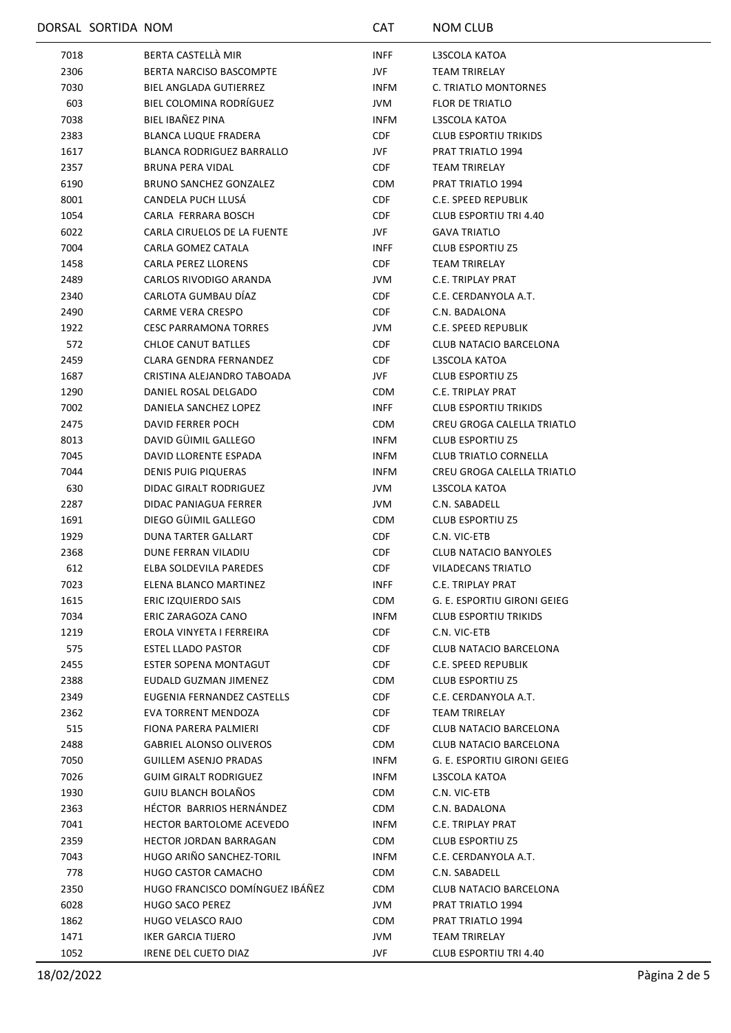|      | DORSAL SORTIDA NOM |                                   | <b>CAT</b>  | <b>NOM CLUB</b>               |
|------|--------------------|-----------------------------------|-------------|-------------------------------|
| 7018 |                    | BERTA CASTELLÀ MIR                | <b>INFF</b> | L3SCOLA KATOA                 |
| 2306 |                    | <b>BERTA NARCISO BASCOMPTE</b>    | JVF         | <b>TEAM TRIRELAY</b>          |
| 7030 |                    | <b>BIEL ANGLADA GUTIERREZ</b>     | <b>INFM</b> | C. TRIATLO MONTORNES          |
| 603  |                    | BIEL COLOMINA RODRÍGUEZ           | JVM         | <b>FLOR DE TRIATLO</b>        |
| 7038 |                    | BIEL IBAÑEZ PINA                  | <b>INFM</b> | L3SCOLA KATOA                 |
| 2383 |                    | <b>BLANCA LUQUE FRADERA</b>       | <b>CDF</b>  | <b>CLUB ESPORTIU TRIKIDS</b>  |
| 1617 |                    | <b>BLANCA RODRIGUEZ BARRALLO</b>  | JVF         | PRAT TRIATLO 1994             |
| 2357 |                    | <b>BRUNA PERA VIDAL</b>           | <b>CDF</b>  | <b>TEAM TRIRELAY</b>          |
| 6190 |                    | <b>BRUNO SANCHEZ GONZALEZ</b>     | <b>CDM</b>  | PRAT TRIATLO 1994             |
| 8001 |                    | CANDELA PUCH LLUSÁ                | <b>CDF</b>  | C.E. SPEED REPUBLIK           |
| 1054 |                    | CARLA FERRARA BOSCH               | <b>CDF</b>  | <b>CLUB ESPORTIU TRI 4.40</b> |
| 6022 |                    | CARLA CIRUELOS DE LA FUENTE       | JVF         | <b>GAVA TRIATLO</b>           |
| 7004 |                    | CARLA GOMEZ CATALA                | <b>INFF</b> | <b>CLUB ESPORTIU Z5</b>       |
| 1458 |                    | <b>CARLA PEREZ LLORENS</b>        | <b>CDF</b>  | TEAM TRIRELAY                 |
| 2489 |                    | CARLOS RIVODIGO ARANDA            | JVM         | C.E. TRIPLAY PRAT             |
| 2340 |                    | CARLOTA GUMBAU DÍAZ               | <b>CDF</b>  | C.E. CERDANYOLA A.T.          |
| 2490 |                    | <b>CARME VERA CRESPO</b>          | <b>CDF</b>  | C.N. BADALONA                 |
| 1922 |                    | <b>CESC PARRAMONA TORRES</b>      | JVM         | C.E. SPEED REPUBLIK           |
| 572  |                    | <b>CHLOE CANUT BATLLES</b>        | <b>CDF</b>  | CLUB NATACIO BARCELONA        |
| 2459 |                    | CLARA GENDRA FERNANDEZ            | <b>CDF</b>  | L3SCOLA KATOA                 |
| 1687 |                    | CRISTINA ALEJANDRO TABOADA        | JVF         | <b>CLUB ESPORTIU Z5</b>       |
| 1290 |                    | DANIEL ROSAL DELGADO              | <b>CDM</b>  | C.E. TRIPLAY PRAT             |
| 7002 |                    | DANIELA SANCHEZ LOPEZ             | <b>INFF</b> | <b>CLUB ESPORTIU TRIKIDS</b>  |
| 2475 |                    | DAVID FERRER POCH                 | <b>CDM</b>  | CREU GROGA CALELLA TRIATLO    |
| 8013 |                    | DAVID GÜIMIL GALLEGO              | <b>INFM</b> | <b>CLUB ESPORTIU Z5</b>       |
| 7045 |                    | DAVID LLORENTE ESPADA             | <b>INFM</b> | <b>CLUB TRIATLO CORNELLA</b>  |
| 7044 |                    | <b>DENIS PUIG PIQUERAS</b>        | <b>INFM</b> | CREU GROGA CALELLA TRIATLO    |
| 630  |                    | DIDAC GIRALT RODRIGUEZ            | JVM         | L3SCOLA KATOA                 |
| 2287 |                    | DIDAC PANIAGUA FERRER             | JVM         | C.N. SABADELL                 |
| 1691 |                    | DIEGO GÜIMIL GALLEGO              | <b>CDM</b>  | <b>CLUB ESPORTIU Z5</b>       |
| 1929 |                    | DUNA TARTER GALLART               | CDF         | C.N. VIC-ETB                  |
| 2368 |                    | DUNE FERRAN VILADIU               | <b>CDF</b>  | <b>CLUB NATACIO BANYOLES</b>  |
| 612  |                    | ELBA SOLDEVILA PAREDES            | <b>CDF</b>  | VILADECANS TRIATLO            |
| 7023 |                    | ELENA BLANCO MARTINEZ             | <b>INFF</b> | C.E. TRIPLAY PRAT             |
| 1615 |                    | ERIC IZQUIERDO SAIS               | <b>CDM</b>  | G. E. ESPORTIU GIRONI GEIEG   |
| 7034 |                    | ERIC ZARAGOZA CANO                | <b>INFM</b> | <b>CLUB ESPORTIU TRIKIDS</b>  |
| 1219 |                    | EROLA VINYETA I FERREIRA          | CDF         | C.N. VIC-ETB                  |
| 575  |                    | ESTEL LLADO PASTOR                | CDF         | CLUB NATACIO BARCELONA        |
| 2455 |                    | ESTER SOPENA MONTAGUT             | <b>CDF</b>  | C.E. SPEED REPUBLIK           |
| 2388 |                    | EUDALD GUZMAN JIMENEZ             | <b>CDM</b>  | <b>CLUB ESPORTIU Z5</b>       |
| 2349 |                    | <b>EUGENIA FERNANDEZ CASTELLS</b> | CDF         | C.E. CERDANYOLA A.T.          |
| 2362 |                    | EVA TORRENT MENDOZA               | <b>CDF</b>  | <b>TEAM TRIRELAY</b>          |
| 515  |                    | FIONA PARERA PALMIERI             | <b>CDF</b>  | <b>CLUB NATACIO BARCELONA</b> |
| 2488 |                    | <b>GABRIEL ALONSO OLIVEROS</b>    | <b>CDM</b>  | CLUB NATACIO BARCELONA        |
| 7050 |                    | GUILLEM ASENJO PRADAS             | <b>INFM</b> | G. E. ESPORTIU GIRONI GEIEG   |
| 7026 |                    | <b>GUIM GIRALT RODRIGUEZ</b>      | <b>INFM</b> | L3SCOLA KATOA                 |
| 1930 |                    | GUIU BLANCH BOLAÑOS               | CDM         | C.N. VIC-ETB                  |
| 2363 |                    | HÉCTOR BARRIOS HERNÁNDEZ          | CDM         | C.N. BADALONA                 |
| 7041 |                    | HECTOR BARTOLOME ACEVEDO          | <b>INFM</b> | C.E. TRIPLAY PRAT             |
| 2359 |                    | <b>HECTOR JORDAN BARRAGAN</b>     | <b>CDM</b>  | <b>CLUB ESPORTIU Z5</b>       |
| 7043 |                    | HUGO ARIÑO SANCHEZ-TORIL          | INFM        | C.E. CERDANYOLA A.T.          |
| 778  |                    | <b>HUGO CASTOR CAMACHO</b>        | <b>CDM</b>  | C.N. SABADELL                 |
| 2350 |                    | HUGO FRANCISCO DOMÍNGUEZ IBÁÑEZ   | <b>CDM</b>  | CLUB NATACIO BARCELONA        |
| 6028 |                    | <b>HUGO SACO PEREZ</b>            | JVM         | PRAT TRIATLO 1994             |
| 1862 |                    | HUGO VELASCO RAJO                 | <b>CDM</b>  | PRAT TRIATLO 1994             |
| 1471 |                    | IKER GARCIA TIJERO                | JVM         | TEAM TRIRELAY                 |
| 1052 |                    | IRENE DEL CUETO DIAZ              | JVF.        | CLUB ESPORTIU TRI 4.40        |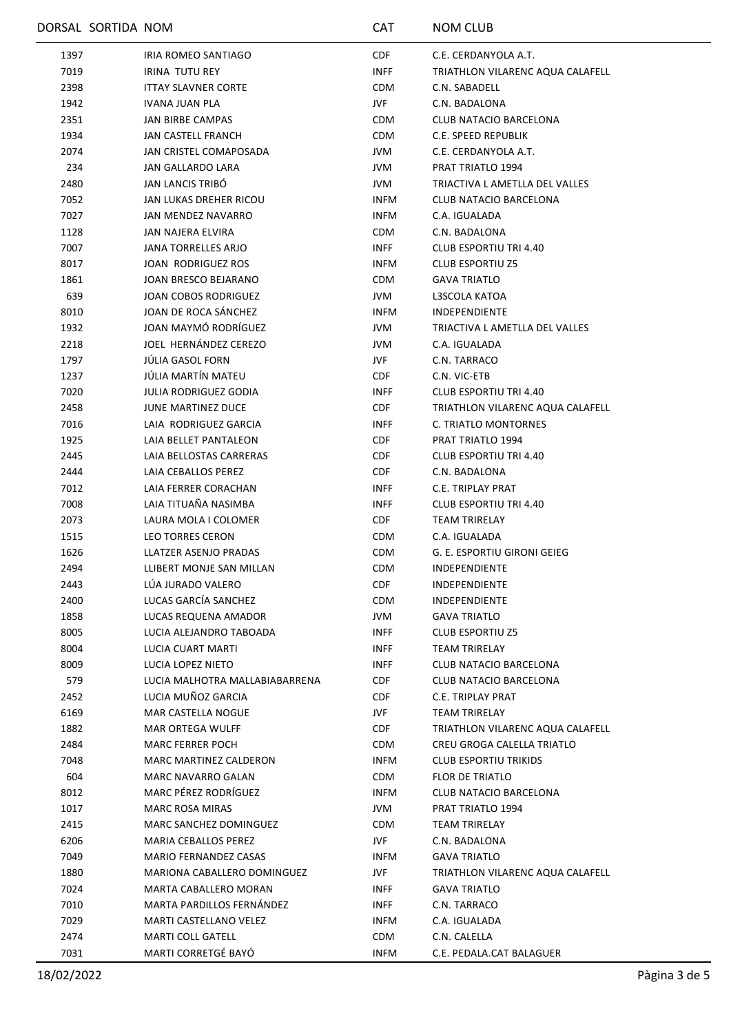|      | DORSAL SORTIDA NOM |                                | CAT         | <b>NOM CLUB</b>                  |
|------|--------------------|--------------------------------|-------------|----------------------------------|
| 1397 |                    | IRIA ROMEO SANTIAGO            | <b>CDF</b>  | C.E. CERDANYOLA A.T.             |
| 7019 |                    | <b>IRINA TUTU REY</b>          | <b>INFF</b> | TRIATHLON VILARENC AQUA CALAFELL |
| 2398 |                    | <b>ITTAY SLAVNER CORTE</b>     | <b>CDM</b>  | C.N. SABADELL                    |
| 1942 |                    | IVANA JUAN PLA                 | JVF         | C.N. BADALONA                    |
| 2351 |                    | <b>JAN BIRBE CAMPAS</b>        | <b>CDM</b>  | CLUB NATACIO BARCELONA           |
| 1934 |                    | JAN CASTELL FRANCH             | CDM         | C.E. SPEED REPUBLIK              |
| 2074 |                    | JAN CRISTEL COMAPOSADA         | JVM         | C.E. CERDANYOLA A.T.             |
| 234  |                    | <b>JAN GALLARDO LARA</b>       | JVM         | PRAT TRIATLO 1994                |
| 2480 |                    | <b>JAN LANCIS TRIBO</b>        | JVM         | TRIACTIVA L AMETLLA DEL VALLES   |
| 7052 |                    | JAN LUKAS DREHER RICOU         | <b>INFM</b> | CLUB NATACIO BARCELONA           |
| 7027 |                    | JAN MENDEZ NAVARRO             | <b>INFM</b> | C.A. IGUALADA                    |
| 1128 |                    | JAN NAJERA ELVIRA              | CDM         | C.N. BADALONA                    |
| 7007 |                    | JANA TORRELLES ARJO            | INFF        | CLUB ESPORTIU TRI 4.40           |
| 8017 |                    | JOAN RODRIGUEZ ROS             | <b>INFM</b> | <b>CLUB ESPORTIU Z5</b>          |
| 1861 |                    | JOAN BRESCO BEJARANO           | <b>CDM</b>  | <b>GAVA TRIATLO</b>              |
| 639  |                    | JOAN COBOS RODRIGUEZ           | JVM         | L3SCOLA KATOA                    |
| 8010 |                    | JOAN DE ROCA SÁNCHEZ           | INFM        | <b>INDEPENDIENTE</b>             |
| 1932 |                    | JOAN MAYMÓ RODRÍGUEZ           | JVM         | TRIACTIVA L AMETLLA DEL VALLES   |
| 2218 |                    | JOEL HERNÁNDEZ CEREZO          | JVM         | C.A. IGUALADA                    |
| 1797 |                    | <b>JULIA GASOL FORN</b>        | JVF         | C.N. TARRACO                     |
| 1237 |                    | JÚLIA MARTÍN MATEU             | CDF         | C.N. VIC-ETB                     |
| 7020 |                    | <b>JULIA RODRIGUEZ GODIA</b>   | <b>INFF</b> | <b>CLUB ESPORTIU TRI 4.40</b>    |
| 2458 |                    | JUNE MARTINEZ DUCE             | <b>CDF</b>  | TRIATHLON VILARENC AQUA CALAFELL |
| 7016 |                    | LAIA RODRIGUEZ GARCIA          | <b>INFF</b> | C. TRIATLO MONTORNES             |
| 1925 |                    | LAIA BELLET PANTALEON          | <b>CDF</b>  | PRAT TRIATLO 1994                |
| 2445 |                    | LAIA BELLOSTAS CARRERAS        | <b>CDF</b>  | <b>CLUB ESPORTIU TRI 4.40</b>    |
| 2444 |                    | LAIA CEBALLOS PEREZ            | CDF         | C.N. BADALONA                    |
| 7012 |                    | LAIA FERRER CORACHAN           | <b>INFF</b> | C.E. TRIPLAY PRAT                |
| 7008 |                    | LAIA TITUAÑA NASIMBA           | <b>INFF</b> | CLUB ESPORTIU TRI 4.40           |
| 2073 |                    | LAURA MOLA I COLOMER           | <b>CDF</b>  | <b>TEAM TRIRELAY</b>             |
| 1515 |                    | LEO TORRES CERON               | <b>CDM</b>  | C.A. IGUALADA                    |
| 1626 |                    | LLATZER ASENJO PRADAS          | <b>CDM</b>  | G. E. ESPORTIU GIRONI GEIEG      |
| 2494 |                    | LLIBERT MONJE SAN MILLAN       | <b>CDM</b>  | <b>INDEPENDIENTE</b>             |
| 2443 |                    | LÚA JURADO VALERO              | <b>CDF</b>  | <b>INDEPENDIENTE</b>             |
| 2400 |                    | LUCAS GARCÍA SANCHEZ           | <b>CDM</b>  | <b>INDEPENDIENTE</b>             |
| 1858 |                    | LUCAS REQUENA AMADOR           | JVM         | <b>GAVA TRIATLO</b>              |
| 8005 |                    | LUCIA ALEJANDRO TABOADA        | <b>INFF</b> | <b>CLUB ESPORTIU Z5</b>          |
| 8004 |                    | LUCIA CUART MARTI              | <b>INFF</b> | TEAM TRIRELAY                    |
| 8009 |                    | LUCIA LOPEZ NIETO              | <b>INFF</b> | <b>CLUB NATACIO BARCELONA</b>    |
| 579  |                    | LUCIA MALHOTRA MALLABIABARRENA | <b>CDF</b>  | <b>CLUB NATACIO BARCELONA</b>    |
| 2452 |                    | LUCIA MUÑOZ GARCIA             | <b>CDF</b>  | C.E. TRIPLAY PRAT                |
| 6169 |                    | MAR CASTELLA NOGUE             | JVF         | <b>TEAM TRIRELAY</b>             |
| 1882 |                    | MAR ORTEGA WULFF               | CDF.        | TRIATHLON VILARENC AQUA CALAFELL |
| 2484 |                    | <b>MARC FERRER POCH</b>        | <b>CDM</b>  | CREU GROGA CALELLA TRIATLO       |
| 7048 |                    | MARC MARTINEZ CALDERON         | <b>INFM</b> | <b>CLUB ESPORTIU TRIKIDS</b>     |
| 604  |                    | <b>MARC NAVARRO GALAN</b>      | CDM         | <b>FLOR DE TRIATLO</b>           |
| 8012 |                    | <b>MARC PÉREZ RODRÍGUEZ</b>    | <b>INFM</b> | CLUB NATACIO BARCELONA           |
| 1017 |                    | <b>MARC ROSA MIRAS</b>         | JVM         | PRAT TRIATLO 1994                |
| 2415 |                    | MARC SANCHEZ DOMINGUEZ         | <b>CDM</b>  | TEAM TRIRELAY                    |
| 6206 |                    | MARIA CEBALLOS PEREZ           | JVF.        | C.N. BADALONA                    |
| 7049 |                    | MARIO FERNANDEZ CASAS          | INFM        | <b>GAVA TRIATLO</b>              |
| 1880 |                    | MARIONA CABALLERO DOMINGUEZ    | JVF         | TRIATHLON VILARENC AQUA CALAFELL |
| 7024 |                    | MARTA CABALLERO MORAN          | INFF        | <b>GAVA TRIATLO</b>              |
| 7010 |                    | MARTA PARDILLOS FERNÁNDEZ      | INFF        | C.N. TARRACO                     |
| 7029 |                    | MARTI CASTELLANO VELEZ         | <b>INFM</b> | C.A. IGUALADA                    |
| 2474 |                    | <b>MARTI COLL GATELL</b>       | <b>CDM</b>  | C.N. CALELLA                     |
| 7031 |                    | MARTI CORRETGÉ BAYÓ            | <b>INFM</b> | C.E. PEDALA.CAT BALAGUER         |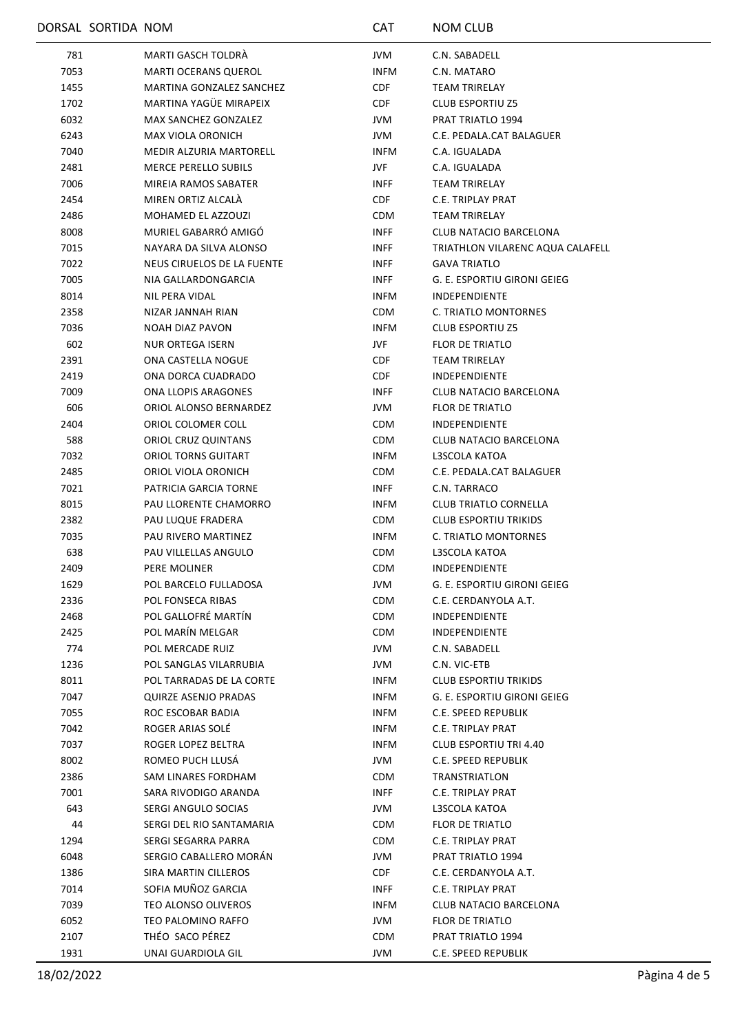|      | DORSAL SORTIDA NOM |                                                 | <b>CAT</b>  | <b>NOM CLUB</b>                  |
|------|--------------------|-------------------------------------------------|-------------|----------------------------------|
| 781  |                    | MARTI GASCH TOLDRÁ                              | JVM         | C.N. SABADELL                    |
| 7053 |                    | <b>MARTI OCERANS QUEROL</b>                     | <b>INFM</b> | C.N. MATARO                      |
| 1455 |                    | MARTINA GONZALEZ SANCHEZ                        | CDF         | <b>TEAM TRIRELAY</b>             |
| 1702 |                    | MARTINA YAGÜE MIRAPEIX                          | CDF         | <b>CLUB ESPORTIU Z5</b>          |
| 6032 |                    | <b>MAX SANCHEZ GONZALEZ</b>                     | <b>JVM</b>  | PRAT TRIATLO 1994                |
| 6243 |                    | MAX VIOLA ORONICH                               | JVM         | C.E. PEDALA.CAT BALAGUER         |
| 7040 |                    | <b>MEDIR ALZURIA MARTORELL</b>                  | <b>INFM</b> | C.A. IGUALADA                    |
| 2481 |                    | <b>MERCE PERELLO SUBILS</b>                     | JVF         | C.A. IGUALADA                    |
| 7006 |                    | MIREIA RAMOS SABATER                            | <b>INFF</b> | TEAM TRIRELAY                    |
| 2454 |                    | MIREN ORTIZ ALCALA                              | CDF         | C.E. TRIPLAY PRAT                |
| 2486 |                    | MOHAMED EL AZZOUZI                              | <b>CDM</b>  | <b>TEAM TRIRELAY</b>             |
| 8008 |                    | MURIEL GABARRÓ AMIGÓ                            | <b>INFF</b> | CLUB NATACIO BARCELONA           |
| 7015 |                    | NAYARA DA SILVA ALONSO                          | <b>INFF</b> | TRIATHLON VILARENC AQUA CALAFELL |
| 7022 |                    | NEUS CIRUELOS DE LA FUENTE                      | <b>INFF</b> | <b>GAVA TRIATLO</b>              |
| 7005 |                    | NIA GALLARDONGARCIA                             | <b>INFF</b> | G. E. ESPORTIU GIRONI GEIEG      |
| 8014 |                    | NIL PERA VIDAL                                  | <b>INFM</b> | <b>INDEPENDIENTE</b>             |
| 2358 |                    | NIZAR JANNAH RIAN                               | <b>CDM</b>  | C. TRIATLO MONTORNES             |
| 7036 |                    | NOAH DIAZ PAVON                                 | <b>INFM</b> | <b>CLUB ESPORTIU Z5</b>          |
| 602  |                    | <b>NUR ORTEGA ISERN</b>                         | JVF         | <b>FLOR DE TRIATLO</b>           |
| 2391 |                    | ONA CASTELLA NOGUE                              | CDF         | TEAM TRIRELAY                    |
| 2419 |                    | ONA DORCA CUADRADO                              | CDF         | INDEPENDIENTE                    |
| 7009 |                    | ONA LLOPIS ARAGONES                             | <b>INFF</b> | CLUB NATACIO BARCELONA           |
| 606  |                    | ORIOL ALONSO BERNARDEZ                          | JVM         | FLOR DE TRIATLO                  |
| 2404 |                    | ORIOL COLOMER COLL                              | <b>CDM</b>  | INDEPENDIENTE                    |
| 588  |                    | ORIOL CRUZ QUINTANS                             | <b>CDM</b>  | CLUB NATACIO BARCELONA           |
| 7032 |                    | ORIOL TORNS GUITART                             | <b>INFM</b> | L3SCOLA KATOA                    |
| 2485 |                    | ORIOL VIOLA ORONICH                             | <b>CDM</b>  | C.E. PEDALA.CAT BALAGUER         |
| 7021 |                    | PATRICIA GARCIA TORNE                           | <b>INFF</b> | C.N. TARRACO                     |
| 8015 |                    | PAU LLORENTE CHAMORRO                           | <b>INFM</b> | <b>CLUB TRIATLO CORNELLA</b>     |
| 2382 |                    | PAU LUQUE FRADERA                               | <b>CDM</b>  | <b>CLUB ESPORTIU TRIKIDS</b>     |
| 7035 |                    | PAU RIVERO MARTINEZ                             | <b>INFM</b> | C. TRIATLO MONTORNES             |
| 638  |                    | PAU VILLELLAS ANGULO                            | <b>CDM</b>  | L3SCOLA KATOA                    |
| 2409 |                    | <b>PERE MOLINER</b>                             | <b>CDM</b>  | <b>INDEPENDIENTE</b>             |
| 1629 |                    | POL BARCELO FULLADOSA                           | JVM         | G. E. ESPORTIU GIRONI GEIEG      |
| 2336 |                    | POL FONSECA RIBAS                               | <b>CDM</b>  | C.E. CERDANYOLA A.T.             |
| 2468 |                    | POL GALLOFRÉ MARTÍN                             | <b>CDM</b>  | <b>INDEPENDIENTE</b>             |
| 2425 |                    | POL MARÍN MELGAR                                | <b>CDM</b>  | <b>INDEPENDIENTE</b>             |
| 774  |                    | POL MERCADE RUIZ                                | JVM         | C.N. SABADELL                    |
| 1236 |                    | POL SANGLAS VILARRUBIA                          | JVM         | C.N. VIC-ETB                     |
| 8011 |                    | POL TARRADAS DE LA CORTE                        | INFM        | <b>CLUB ESPORTIU TRIKIDS</b>     |
| 7047 |                    | <b>QUIRZE ASENJO PRADAS</b>                     | INFM        | G. E. ESPORTIU GIRONI GEIEG      |
| 7055 |                    | ROC ESCOBAR BADIA                               | <b>INFM</b> | C.E. SPEED REPUBLIK              |
| 7042 |                    | ROGER ARIAS SOLE                                | INFM        | C.E. TRIPLAY PRAT                |
| 7037 |                    | ROGER LOPEZ BELTRA                              | <b>INFM</b> | CLUB ESPORTIU TRI 4.40           |
| 8002 |                    | ROMEO PUCH LLUSÁ                                | JVM         | C.E. SPEED REPUBLIK              |
| 2386 |                    | SAM LINARES FORDHAM                             | <b>CDM</b>  | TRANSTRIATLON                    |
| 7001 |                    | SARA RIVODIGO ARANDA                            | <b>INFF</b> | C.E. TRIPLAY PRAT                |
| 643  |                    |                                                 |             | L3SCOLA KATOA                    |
|      |                    | SERGI ANGULO SOCIAS<br>SERGI DEL RIO SANTAMARIA | JVM         |                                  |
| 44   |                    |                                                 | <b>CDM</b>  | FLOR DE TRIATLO                  |
| 1294 |                    | SERGI SEGARRA PARRA                             | <b>CDM</b>  | C.E. TRIPLAY PRAT                |
| 6048 |                    | SERGIO CABALLERO MORÁN                          | JVM         | PRAT TRIATLO 1994                |
| 1386 |                    | SIRA MARTIN CILLEROS                            | CDF         | C.E. CERDANYOLA A.T.             |
| 7014 |                    | SOFIA MUÑOZ GARCIA                              | <b>INFF</b> | C.E. TRIPLAY PRAT                |
| 7039 |                    | TEO ALONSO OLIVEROS                             | <b>INFM</b> | CLUB NATACIO BARCELONA           |
| 6052 |                    | TEO PALOMINO RAFFO                              | JVM         | FLOR DE TRIATLO                  |
| 2107 |                    | THÉO SACO PÉREZ                                 | <b>CDM</b>  | PRAT TRIATLO 1994                |
| 1931 |                    | UNAI GUARDIOLA GIL                              | JVM         | C.E. SPEED REPUBLIK              |